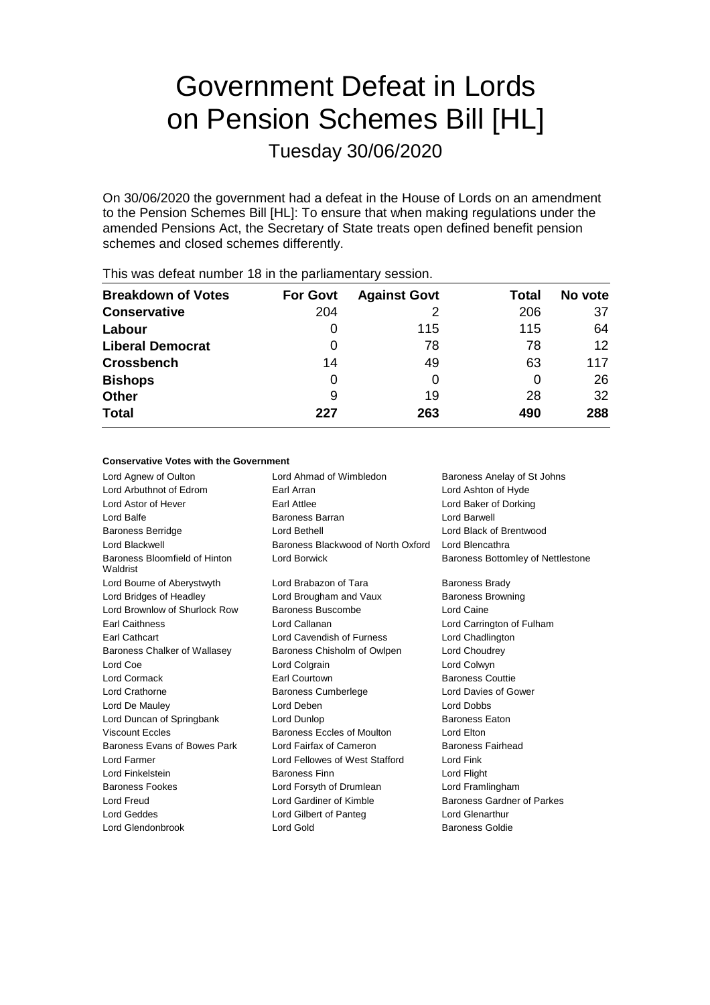# Government Defeat in Lords on Pension Schemes Bill [HL]

Tuesday 30/06/2020

On 30/06/2020 the government had a defeat in the House of Lords on an amendment to the Pension Schemes Bill [HL]: To ensure that when making regulations under the amended Pensions Act, the Secretary of State treats open defined benefit pension schemes and closed schemes differently.

| <b>Breakdown of Votes</b> | <b>For Govt</b> | <b>Against Govt</b> | Total | No vote |
|---------------------------|-----------------|---------------------|-------|---------|
| <b>Conservative</b>       | 204             |                     | 206   | 37      |
| Labour                    | 0               | 115                 | 115   | 64      |
| <b>Liberal Democrat</b>   | O               | 78                  | 78    | 12      |
| <b>Crossbench</b>         | 14              | 49                  | 63    | 117     |
| <b>Bishops</b>            | 0               | 0                   |       | 26      |
| <b>Other</b>              | 9               | 19                  | 28    | 32      |
| <b>Total</b>              | 227             | 263                 | 490   | 288     |
|                           |                 |                     |       |         |

This was defeat number 18 in the parliamentary session.

#### **Conservative Votes with the Government**

| Lord Agnew of Oulton                      | Lord Ahmad of Wimbledon            | Baroness Anelay of St Johns       |
|-------------------------------------------|------------------------------------|-----------------------------------|
| Lord Arbuthnot of Edrom                   | Earl Arran                         | Lord Ashton of Hyde               |
| Lord Astor of Hever                       | Earl Attlee                        | Lord Baker of Dorking             |
| Lord Balfe                                | Baroness Barran                    | Lord Barwell                      |
| <b>Baroness Berridge</b>                  | Lord Bethell                       | Lord Black of Brentwood           |
| Lord Blackwell                            | Baroness Blackwood of North Oxford | Lord Blencathra                   |
| Baroness Bloomfield of Hinton<br>Waldrist | Lord Borwick                       | Baroness Bottomley of Nettlestone |
| Lord Bourne of Aberystwyth                | Lord Brabazon of Tara              | <b>Baroness Brady</b>             |
| Lord Bridges of Headley                   | Lord Brougham and Vaux             | <b>Baroness Browning</b>          |
| Lord Brownlow of Shurlock Row             | Baroness Buscombe                  | Lord Caine                        |
| <b>Earl Caithness</b>                     | Lord Callanan                      | Lord Carrington of Fulham         |
| <b>Earl Cathcart</b>                      | Lord Cavendish of Furness          | Lord Chadlington                  |
| Baroness Chalker of Wallasey              | Baroness Chisholm of Owlpen        | Lord Choudrey                     |
| Lord Coe                                  | Lord Colgrain                      | Lord Colwyn                       |
| <b>Lord Cormack</b>                       | Earl Courtown                      | <b>Baroness Couttie</b>           |
| Lord Crathorne                            | <b>Baroness Cumberlege</b>         | Lord Davies of Gower              |
| Lord De Mauley                            | Lord Deben                         | <b>Lord Dobbs</b>                 |
| Lord Duncan of Springbank                 | Lord Dunlop                        | Baroness Eaton                    |
| <b>Viscount Eccles</b>                    | Baroness Eccles of Moulton         | Lord Elton                        |
| Baroness Evans of Bowes Park              | Lord Fairfax of Cameron            | <b>Baroness Fairhead</b>          |
| Lord Farmer                               | Lord Fellowes of West Stafford     | Lord Fink                         |
| Lord Finkelstein                          | <b>Baroness Finn</b>               | Lord Flight                       |
| <b>Baroness Fookes</b>                    | Lord Forsyth of Drumlean           | Lord Framlingham                  |
| Lord Freud                                | Lord Gardiner of Kimble            | <b>Baroness Gardner of Parkes</b> |
| Lord Geddes                               | Lord Gilbert of Panteg             | Lord Glenarthur                   |
| Lord Glendonbrook                         | Lord Gold                          | <b>Baroness Goldie</b>            |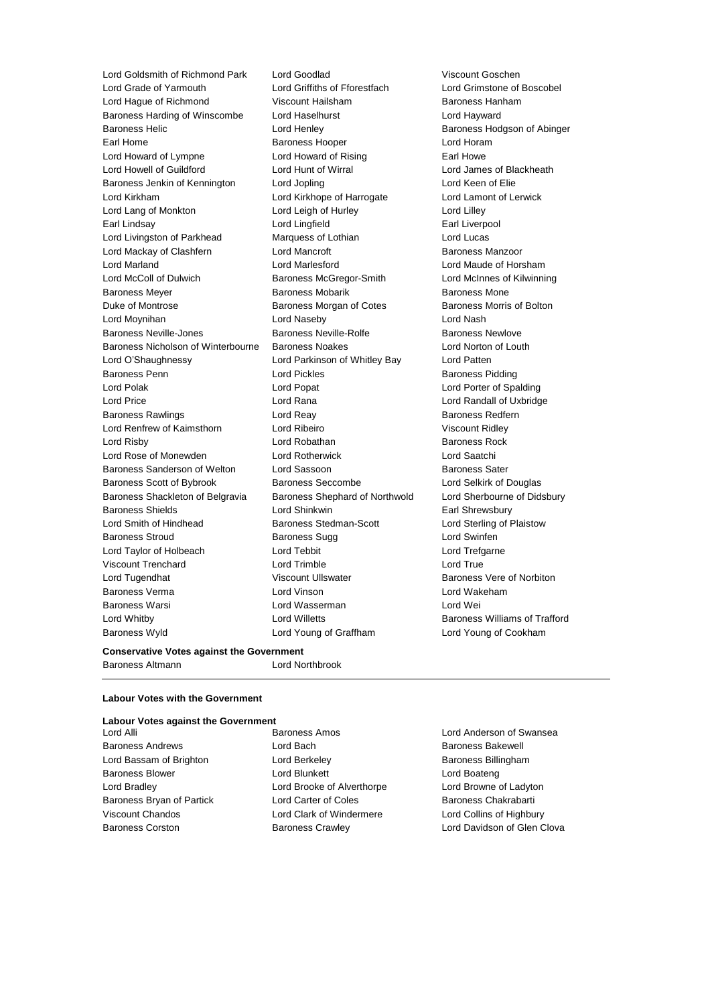Lord Goldsmith of Richmond Park Lord Goodlad Viscount Goschen<br>
Lord Grade of Yarmouth Lord Griffiths of Fforestfach Lord Grimstone of Lord Hague of Richmond Viscount Hailsham Baroness Hanham Baroness Harding of Winscombe Lord Haselhurst **Lord Hayward** Baroness Helic Lord Henley Baroness Hodgson of Abinger Earl Home **Baroness Hooper Baroness Hooper Lord Horam** Lord Howard of Lympne Lord Howard of Rising Earl Howe Lord Howell of Guildford Lord Hunt of Wirral Lord James of Blackheath Baroness Jenkin of Kennington Lord Jopling North Lord Keen of Elie Lord Kirkham Lord Kirkhope of Harrogate Lord Lamont of Lerwick Lord Lang of Monkton Lord Leigh of Hurley Lord Lilley Earl Lindsay **Earl Lingfield** Earl Liverpool Lord Livingston of Parkhead Marquess of Lothian Lord Lucas Lord Mackay of Clashfern **Lord Mancroft Baroness Manzoor** Baroness Manzoor Lord Marland Lord Marlesford Lord Maude of Horsham Lord McColl of Dulwich Baroness McGregor-Smith Lord McInnes of Kilwinning Baroness Meyer **Baroness Mobarik** Baroness Mobarik Baroness Mone Duke of Montrose **Baroness Morgan of Cotes** Baroness Morris of Bolton Lord Moynihan Lord Naseby Lord Nash Baroness Neville-Jones **Baroness Newlowe** Baroness Newlove Baroness Newlove Baroness Nicholson of Winterbourne Baroness Noakes Lord Norton of Louth Lord O'Shaughnessy Lord Parkinson of Whitley Bay Lord Patten Baroness Penn **Lord Pickles Baroness Pidding** Lord Polak Lord Popat Lord Porter of Spalding Lord Price Lord Rana Lord Randall of Uxbridge Baroness Rawlings **Baroness Redfern** Lord Reay **Baroness Redfern** Lord Renfrew of Kaimsthorn Lord Ribeiro Viscount Ridley Lord Risby **Lord Robathan** Baroness Rock **Container Baroness Rock** Lord Rose of Monewden Lord Rotherwick Lord Saatchi Baroness Sanderson of Welton Lord Sassoon and Baroness Sater Baroness Scott of Bybrook Baroness Seccombe Lord Selkirk of Douglas Baroness Shackleton of Belgravia Baroness Shephard of Northwold Lord Sherbourne of Didsbury Baroness Shields **Lord Shinkwin** Earl Shrewsbury Lord Smith of Hindhead **Baroness Stedman-Scott** Lord Sterling of Plaistow Baroness Stroud Baroness Sugg Lord Swinfen Lord Taylor of Holbeach Lord Tebbit Lord Trefgarne Viscount Trenchard Lord Trimble Lord True Lord Tugendhat **Matter State Viscount Ullswater** Baroness Vere of Norbiton Baroness Verma Lord Vinson Lord Wakeham Baroness Warsi Lord Wasserman Lord Wei Lord Whitby Lord Willetts Baroness Williams of Trafford Baroness Wyld Lord Young of Graffham Lord Young of Cookham

Lord Griffiths of Fforestfach Lord Grimstone of Boscobel<br>Viscount Hailsham Baroness Hanham

#### **Conservative Votes against the Government**

Baroness Altmann Lord Northbrook

### **Labour Votes with the Government**

| <b>Labour Votes against the Government</b> |                            |                            |
|--------------------------------------------|----------------------------|----------------------------|
| Lord Alli                                  | <b>Baroness Amos</b>       | Lord Anderson of S         |
| <b>Baroness Andrews</b>                    | Lord Bach                  | <b>Baroness Bakewell</b>   |
| Lord Bassam of Brighton                    | Lord Berkeley              | <b>Baroness Billinghan</b> |
| <b>Baroness Blower</b>                     | Lord Blunkett              | Lord Boateng               |
| Lord Bradley                               | Lord Brooke of Alverthorpe | Lord Browne of Lad         |
| Baroness Bryan of Partick                  | Lord Carter of Coles       | <b>Baroness Chakraba</b>   |
| <b>Viscount Chandos</b>                    | Lord Clark of Windermere   | Lord Collins of High       |
| <b>Baroness Corston</b>                    | <b>Baroness Crawley</b>    | Lord Davidson of G         |
|                                            |                            |                            |
|                                            |                            |                            |

rson of Swansea Billingham ne of Ladyton Chakrabarti is of Highbury Ison of Glen Clova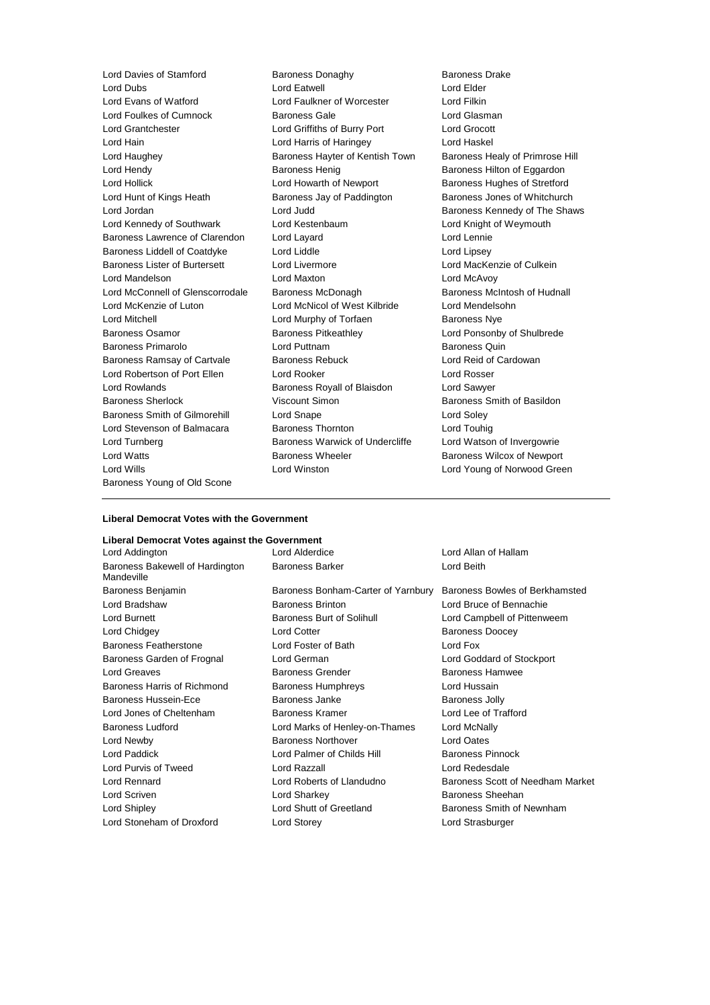Lord Dubs Lord Eatwell Lord Elder Lord Evans of Watford Lord Faulkner of Worcester Lord Filkin Lord Foulkes of Cumnock Baroness Gale Contract Lord Glasman Lord Grantchester Lord Griffiths of Burry Port Lord Grocott Lord Hain **Lord Harris of Haringey** Lord Haskel Lord Haughey **Baroness Hayter of Kentish Town** Baroness Healy of Primrose Hill Lord Hendy **Baroness Henig** Baroness Henig Baroness Hilton of Eggardon Lord Hollick Lord Howarth of Newport Baroness Hughes of Stretford Lord Hunt of Kings Heath Baroness Jay of Paddington Baroness Jones of Whitchurch Lord Jordan **Lord Judd** Baroness Kennedy of The Shaws Lord Kennedy of Southwark Lord Kestenbaum Lord Knight of Weymouth Baroness Lawrence of Clarendon Lord Layard Lord Lennie Baroness Liddell of Coatdyke Lord Liddle Lord Lines Lord Lipsey Baroness Lister of Burtersett Lord Livermore Lord Lord MacKenzie of Culkein Lord Mandelson Lord Maxton Lord McAvoy Lord McConnell of Glenscorrodale Baroness McDonagh Baroness McRonagh Baroness McIntosh of Hudnall Lord McKenzie of Luton Lord McNicol of West Kilbride Lord Mendelsohn Lord Mitchell **Lord Murphy of Torfaen** Baroness Nye Baroness Osamor **Baroness Pitkeathley Baroness Providence Lord Ponsonby of Shulbrede** Baroness Primarolo **Baroness Primarolo** Lord Puttnam **Baroness Quin** Baroness Ramsay of Cartvale Baroness Rebuck Lord Reid of Cardowan Lord Robertson of Port Ellen Lord Rooker Lord Rosser Lord Rowlands Baroness Royall of Blaisdon Lord Sawyer Baroness Sherlock **Mateur Scherlock** Viscount Simon Baroness Smith of Basildon Baroness Smith of Gilmorehill Lord Snape Lord Soley Lord Stevenson of Balmacara Baroness Thornton Lord Touhig Lord Turnberg **Baroness Warwick of Undercliffe** Lord Watson of Invergowrie Lord Watts Baroness Wheeler Baroness Wilcox of Newport Lord Wills Lord Winston Lord Young of Norwood Green Baroness Young of Old Scone

Lord Davies of Stamford **Baroness Donaghy** Baroness Davies Drake<br>
Lord Dubs<br>
Lord Extwell Baroness Drawell<br>
Lord Bider

#### **Liberal Democrat Votes with the Government**

#### **Liberal Democrat Votes against the Government**

Lord Addington Lord Alderdice Lord Allan of Hallam Baroness Bakewell of Hardington Mandeville

Baroness Benjamin Baroness Bonham-Carter of Yarnbury Baroness Bowles of Berkhamsted Lord Bradshaw Baroness Brinton Lord Bruce of Bennachie Lord Burnett **Baroness Burt of Solihull** Lord Campbell of Pittenweem Lord Chidgey **Lord Cotter Baroness Doocey Lord Cotter Baroness Doocey** Baroness Featherstone Lord Foster of Bath Lord Fox Baroness Garden of Frognal Lord German Lord Goddard of Stockport Lord Greaves Baroness Grender Baroness Hamwee Baroness Harris of Richmond Baroness Humphreys **Lord Hussain** Baroness Hussein-Ece **Baroness Janke** Baroness Jolly Lord Jones of Cheltenham Baroness Kramer Lord Lee of Trafford Baroness Ludford Lord Marks of Henley-on-Thames Lord McNally Lord Newby Baroness Northover Lord Oates Lord Paddick **Lord Palmer of Childs Hill Baroness Pinnock Lord Palmer of Childs Hill** Baroness Pinnock Lord Purvis of Tweed Lord Razzall Lord Redesdale Lord Rennard Lord Roberts of Llandudno Baroness Scott of Needham Market Lord Scriven **Lord Sharkey Lord Sharkey Baroness Sheehan** Lord Shipley **Lord Shutt of Greetland** Baroness Smith of Newnham Lord Stoneham of Droxford Lord Storey Lord Strasburger

Baroness Barker **Lord Beith**